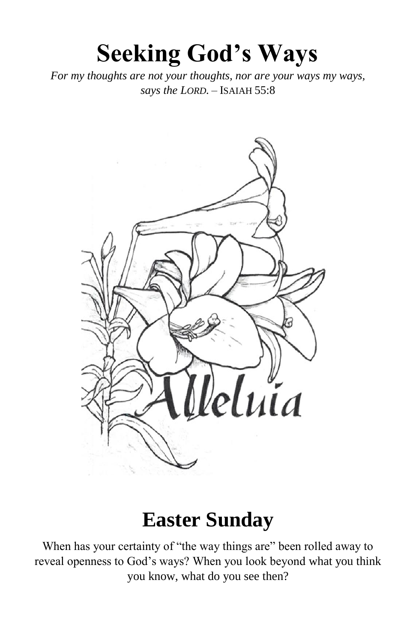# **Seeking God's Ways**

*For my thoughts are not your thoughts, nor are your ways my ways, says the LORD.* – ISAIAH 55:8



### **Easter Sunday**

When has your certainty of "the way things are" been rolled away to reveal openness to God's ways? When you look beyond what you think you know, what do you see then?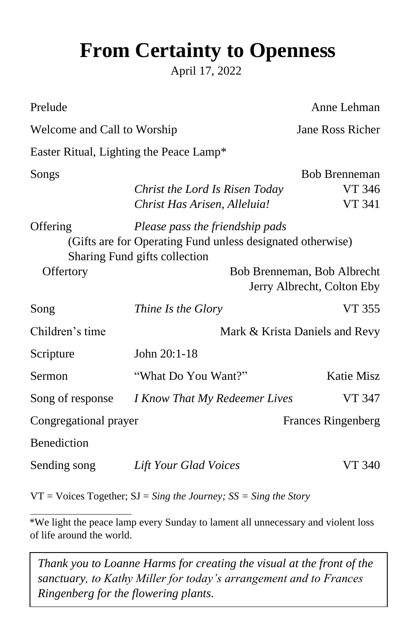## **From Certainty to Openness**

April 17, 2022

| Prelude                                                                                                   |                                                              | Anne Lehman               |  |  |  |  |
|-----------------------------------------------------------------------------------------------------------|--------------------------------------------------------------|---------------------------|--|--|--|--|
| Welcome and Call to Worship                                                                               |                                                              | Jane Ross Richer          |  |  |  |  |
| Easter Ritual, Lighting the Peace Lamp*                                                                   |                                                              |                           |  |  |  |  |
| Songs                                                                                                     |                                                              | <b>Bob Brenneman</b>      |  |  |  |  |
|                                                                                                           | Christ the Lord Is Risen Today                               | VT 346                    |  |  |  |  |
|                                                                                                           | Christ Has Arisen, Alleluia!                                 | <b>VT 341</b>             |  |  |  |  |
| Offering<br>Please pass the friendship pads<br>(Gifts are for Operating Fund unless designated otherwise) |                                                              |                           |  |  |  |  |
| Offertory                                                                                                 | Sharing Fund gifts collection<br>Bob Brenneman, Bob Albrecht |                           |  |  |  |  |
|                                                                                                           | Jerry Albrecht, Colton Eby                                   |                           |  |  |  |  |
| Song                                                                                                      | Thine Is the Glory                                           | <b>VT 355</b>             |  |  |  |  |
| Children's time                                                                                           | Mark & Krista Daniels and Revy                               |                           |  |  |  |  |
| Scripture                                                                                                 | John 20:1-18                                                 |                           |  |  |  |  |
| Sermon                                                                                                    | "What Do You Want?"                                          | <b>Katie Misz</b>         |  |  |  |  |
| Song of response                                                                                          | I Know That My Redeemer Lives                                | VT 347                    |  |  |  |  |
| Congregational prayer                                                                                     |                                                              | <b>Frances Ringenberg</b> |  |  |  |  |
| Benediction                                                                                               |                                                              |                           |  |  |  |  |
| Sending song                                                                                              | Lift Your Glad Voices                                        | VT 340                    |  |  |  |  |

VT = Voices Together; SJ = *Sing the Journey; SS = Sing the Story* 

\*We light the peace lamp every Sunday to lament all unnecessary and violent loss of life around the world.

*Thank you to Loanne Harms for creating the visual at the front of the sanctuary, to Kathy Miller for today's arrangement and to Frances Ringenberg for the flowering plants.*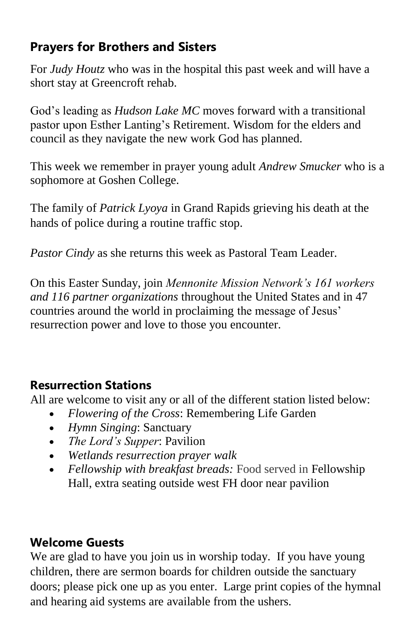#### **Prayers for Brothers and Sisters**

For *Judy Houtz* who was in the hospital this past week and will have a short stay at Greencroft rehab.

God's leading as *Hudson Lake MC* moves forward with a transitional pastor upon Esther Lanting's Retirement. Wisdom for the elders and council as they navigate the new work God has planned.

This week we remember in prayer young adult *Andrew Smucker* who is a sophomore at Goshen College.

The family of *Patrick Lyoya* in Grand Rapids grieving his death at the hands of police during a routine traffic stop.

*Pastor Cindy* as she returns this week as Pastoral Team Leader.

On this Easter Sunday, join *Mennonite Mission Network's 161 workers and 116 partner organizations* throughout the United States and in 47 countries around the world in proclaiming the message of Jesus' resurrection power and love to those you encounter.

#### **Resurrection Stations**

All are welcome to visit any or all of the different station listed below:

- *Flowering of the Cross*: Remembering Life Garden
- *Hymn Singing*: Sanctuary
- *The Lord's Supper*: Pavilion
- *Wetlands resurrection prayer walk*
- *Fellowship with breakfast breads:* Food served in Fellowship Hall, extra seating outside west FH door near pavilion

#### **Welcome Guests**

We are glad to have you join us in worship today. If you have young children, there are sermon boards for children outside the sanctuary doors; please pick one up as you enter. Large print copies of the hymnal and hearing aid systems are available from the ushers.